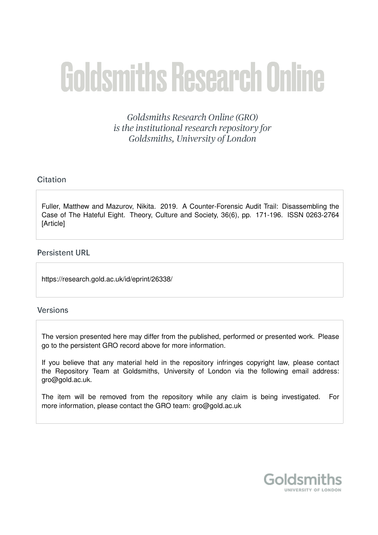# **Goldsmiths Research Online**

Goldsmiths Research Online (GRO) is the institutional research repository for Goldsmiths, University of London

# Citation

Fuller, Matthew and Mazurov, Nikita. 2019. A Counter-Forensic Audit Trail: Disassembling the Case of The Hateful Eight. Theory, Culture and Society, 36(6), pp. 171-196. ISSN 0263-2764 **[Article]** 

# **Persistent URL**

https://research.gold.ac.uk/id/eprint/26338/

### **Versions**

The version presented here may differ from the published, performed or presented work. Please go to the persistent GRO record above for more information.

If you believe that any material held in the repository infringes copyright law, please contact the Repository Team at Goldsmiths, University of London via the following email address: gro@gold.ac.uk.

The item will be removed from the repository while any claim is being investigated. For more information, please contact the GRO team: gro@gold.ac.uk

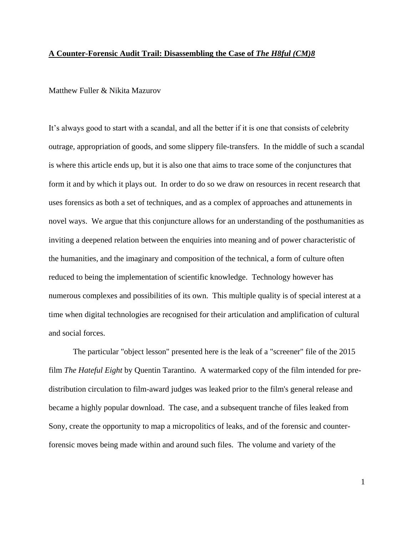#### **A Counter-Forensic Audit Trail: Disassembling the Case of** *The H8ful (CM)8*

# Matthew Fuller & Nikita Mazurov

It's always good to start with a scandal, and all the better if it is one that consists of celebrity outrage, appropriation of goods, and some slippery file-transfers. In the middle of such a scandal is where this article ends up, but it is also one that aims to trace some of the conjunctures that form it and by which it plays out. In order to do so we draw on resources in recent research that uses forensics as both a set of techniques, and as a complex of approaches and attunements in novel ways. We argue that this conjuncture allows for an understanding of the posthumanities as inviting a deepened relation between the enquiries into meaning and of power characteristic of the humanities, and the imaginary and composition of the technical, a form of culture often reduced to being the implementation of scientific knowledge. Technology however has numerous complexes and possibilities of its own. This multiple quality is of special interest at a time when digital technologies are recognised for their articulation and amplification of cultural and social forces.

The particular "object lesson" presented here is the leak of a "screener" file of the 2015 film *The Hateful Eight* by Quentin Tarantino. A watermarked copy of the film intended for predistribution circulation to film-award judges was leaked prior to the film's general release and became a highly popular download. The case, and a subsequent tranche of files leaked from Sony, create the opportunity to map a micropolitics of leaks, and of the forensic and counterforensic moves being made within and around such files. The volume and variety of the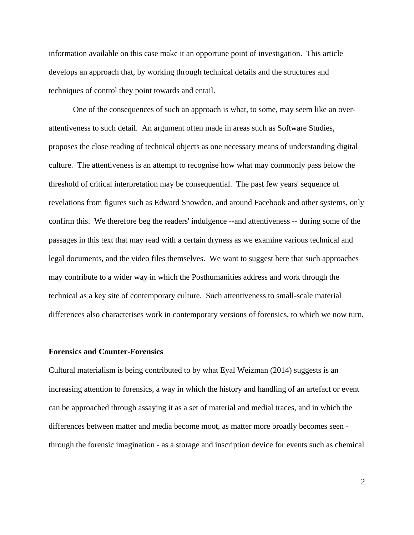information available on this case make it an opportune point of investigation. This article develops an approach that, by working through technical details and the structures and techniques of control they point towards and entail.

One of the consequences of such an approach is what, to some, may seem like an overattentiveness to such detail. An argument often made in areas such as Software Studies, proposes the close reading of technical objects as one necessary means of understanding digital culture. The attentiveness is an attempt to recognise how what may commonly pass below the threshold of critical interpretation may be consequential. The past few years' sequence of revelations from figures such as Edward Snowden, and around Facebook and other systems, only confirm this. We therefore beg the readers' indulgence --and attentiveness -- during some of the passages in this text that may read with a certain dryness as we examine various technical and legal documents, and the video files themselves. We want to suggest here that such approaches may contribute to a wider way in which the Posthumanities address and work through the technical as a key site of contemporary culture. Such attentiveness to small-scale material differences also characterises work in contemporary versions of forensics, to which we now turn.

#### **Forensics and Counter-Forensics**

Cultural materialism is being contributed to by what Eyal Weizman (2014) suggests is an increasing attention to forensics, a way in which the history and handling of an artefact or event can be approached through assaying it as a set of material and medial traces, and in which the differences between matter and media become moot, as matter more broadly becomes seen through the forensic imagination - as a storage and inscription device for events such as chemical

 $\mathcal{L}$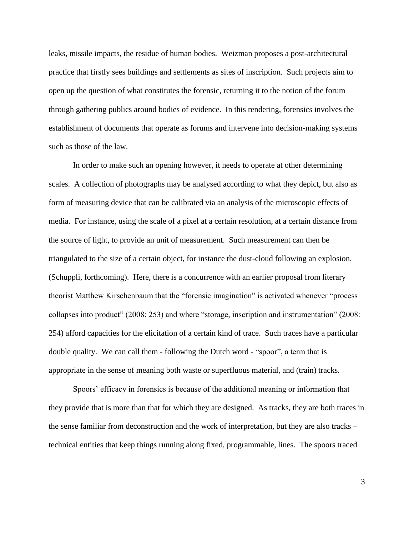leaks, missile impacts, the residue of human bodies. Weizman proposes a post-architectural practice that firstly sees buildings and settlements as sites of inscription. Such projects aim to open up the question of what constitutes the forensic, returning it to the notion of the forum through gathering publics around bodies of evidence. In this rendering, forensics involves the establishment of documents that operate as forums and intervene into decision-making systems such as those of the law.

In order to make such an opening however, it needs to operate at other determining scales. A collection of photographs may be analysed according to what they depict, but also as form of measuring device that can be calibrated via an analysis of the microscopic effects of media. For instance, using the scale of a pixel at a certain resolution, at a certain distance from the source of light, to provide an unit of measurement. Such measurement can then be triangulated to the size of a certain object, for instance the dust-cloud following an explosion. (Schuppli, forthcoming). Here, there is a concurrence with an earlier proposal from literary theorist Matthew Kirschenbaum that the "forensic imagination" is activated whenever "process collapses into product" (2008: 253) and where "storage, inscription and instrumentation" (2008: 254) afford capacities for the elicitation of a certain kind of trace. Such traces have a particular double quality. We can call them - following the Dutch word - "spoor", a term that is appropriate in the sense of meaning both waste or superfluous material, and (train) tracks.

Spoors' efficacy in forensics is because of the additional meaning or information that they provide that is more than that for which they are designed. As tracks, they are both traces in the sense familiar from deconstruction and the work of interpretation, but they are also tracks – technical entities that keep things running along fixed, programmable, lines. The spoors traced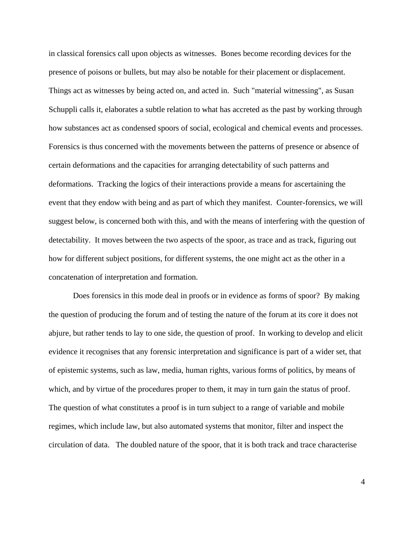in classical forensics call upon objects as witnesses. Bones become recording devices for the presence of poisons or bullets, but may also be notable for their placement or displacement. Things act as witnesses by being acted on, and acted in. Such "material witnessing", as Susan Schuppli calls it, elaborates a subtle relation to what has accreted as the past by working through how substances act as condensed spoors of social, ecological and chemical events and processes. Forensics is thus concerned with the movements between the patterns of presence or absence of certain deformations and the capacities for arranging detectability of such patterns and deformations. Tracking the logics of their interactions provide a means for ascertaining the event that they endow with being and as part of which they manifest. Counter-forensics, we will suggest below, is concerned both with this, and with the means of interfering with the question of detectability. It moves between the two aspects of the spoor, as trace and as track, figuring out how for different subject positions, for different systems, the one might act as the other in a concatenation of interpretation and formation.

Does forensics in this mode deal in proofs or in evidence as forms of spoor? By making the question of producing the forum and of testing the nature of the forum at its core it does not abjure, but rather tends to lay to one side, the question of proof. In working to develop and elicit evidence it recognises that any forensic interpretation and significance is part of a wider set, that of epistemic systems, such as law, media, human rights, various forms of politics, by means of which, and by virtue of the procedures proper to them, it may in turn gain the status of proof. The question of what constitutes a proof is in turn subject to a range of variable and mobile regimes, which include law, but also automated systems that monitor, filter and inspect the circulation of data. The doubled nature of the spoor, that it is both track and trace characterise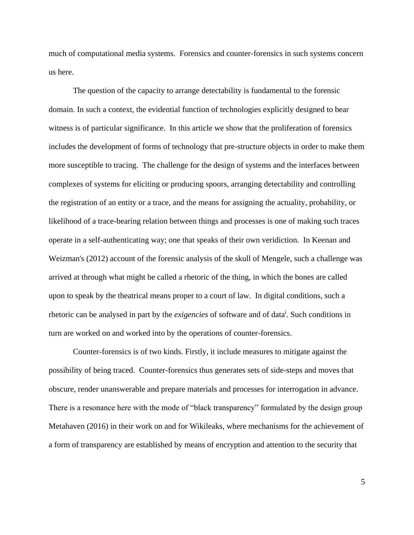much of computational media systems. Forensics and counter-forensics in such systems concern us here.

The question of the capacity to arrange detectability is fundamental to the forensic domain. In such a context, the evidential function of technologies explicitly designed to bear witness is of particular significance. In this article we show that the proliferation of forensics includes the development of forms of technology that pre-structure objects in order to make them more susceptible to tracing. The challenge for the design of systems and the interfaces between complexes of systems for eliciting or producing spoors, arranging detectability and controlling the registration of an entity or a trace, and the means for assigning the actuality, probability, or likelihood of a trace-bearing relation between things and processes is one of making such traces operate in a self-authenticating way; one that speaks of their own veridiction. In Keenan and Weizman's (2012) account of the forensic analysis of the skull of Mengele, such a challenge was arrived at through what might be called a rhetoric of the thing, in which the bones are called upon to speak by the theatrical means proper to a court of law. In digital conditions, such a rhetoric can be analysed in part by the *exigencies* of software and of data<sup>i</sup> . Such conditions in turn are worked on and worked into by the operations of counter-forensics.

Counter-forensics is of two kinds. Firstly, it include measures to mitigate against the possibility of being traced. Counter-forensics thus generates sets of side-steps and moves that obscure, render unanswerable and prepare materials and processes for interrogation in advance. There is a resonance here with the mode of "black transparency" formulated by the design group Metahaven (2016) in their work on and for Wikileaks, where mechanisms for the achievement of a form of transparency are established by means of encryption and attention to the security that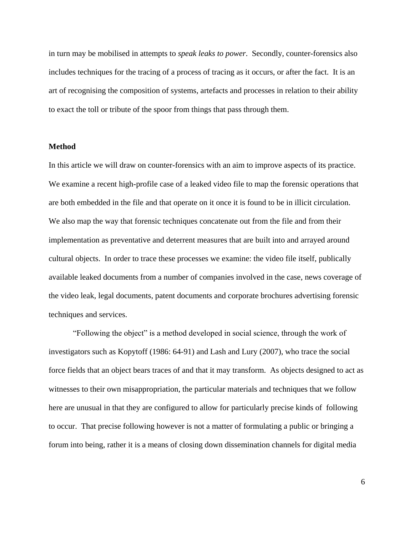in turn may be mobilised in attempts to *speak leaks to power*. Secondly, counter-forensics also includes techniques for the tracing of a process of tracing as it occurs, or after the fact. It is an art of recognising the composition of systems, artefacts and processes in relation to their ability to exact the toll or tribute of the spoor from things that pass through them.

#### **Method**

In this article we will draw on counter-forensics with an aim to improve aspects of its practice. We examine a recent high-profile case of a leaked video file to map the forensic operations that are both embedded in the file and that operate on it once it is found to be in illicit circulation. We also map the way that forensic techniques concatenate out from the file and from their implementation as preventative and deterrent measures that are built into and arrayed around cultural objects. In order to trace these processes we examine: the video file itself, publically available leaked documents from a number of companies involved in the case, news coverage of the video leak, legal documents, patent documents and corporate brochures advertising forensic techniques and services.

"Following the object" is a method developed in social science, through the work of investigators such as Kopytoff (1986: 64-91) and Lash and Lury (2007), who trace the social force fields that an object bears traces of and that it may transform. As objects designed to act as witnesses to their own misappropriation, the particular materials and techniques that we follow here are unusual in that they are configured to allow for particularly precise kinds of following to occur. That precise following however is not a matter of formulating a public or bringing a forum into being, rather it is a means of closing down dissemination channels for digital media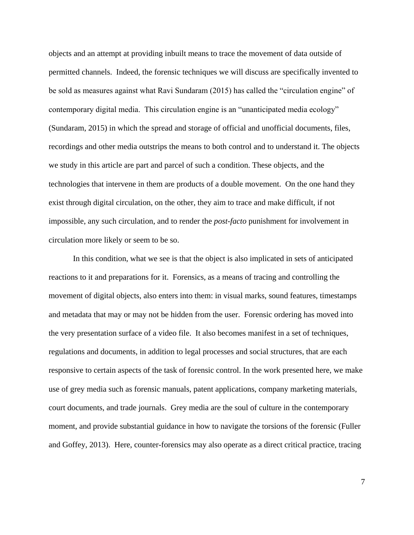objects and an attempt at providing inbuilt means to trace the movement of data outside of permitted channels. Indeed, the forensic techniques we will discuss are specifically invented to be sold as measures against what Ravi Sundaram (2015) has called the "circulation engine" of contemporary digital media. This circulation engine is an "unanticipated media ecology" (Sundaram, 2015) in which the spread and storage of official and unofficial documents, files, recordings and other media outstrips the means to both control and to understand it. The objects we study in this article are part and parcel of such a condition. These objects, and the technologies that intervene in them are products of a double movement. On the one hand they exist through digital circulation, on the other, they aim to trace and make difficult, if not impossible, any such circulation, and to render the *post-facto* punishment for involvement in circulation more likely or seem to be so.

In this condition, what we see is that the object is also implicated in sets of anticipated reactions to it and preparations for it. Forensics, as a means of tracing and controlling the movement of digital objects, also enters into them: in visual marks, sound features, timestamps and metadata that may or may not be hidden from the user. Forensic ordering has moved into the very presentation surface of a video file. It also becomes manifest in a set of techniques, regulations and documents, in addition to legal processes and social structures, that are each responsive to certain aspects of the task of forensic control. In the work presented here, we make use of grey media such as forensic manuals, patent applications, company marketing materials, court documents, and trade journals. Grey media are the soul of culture in the contemporary moment, and provide substantial guidance in how to navigate the torsions of the forensic (Fuller and Goffey, 2013). Here, counter-forensics may also operate as a direct critical practice, tracing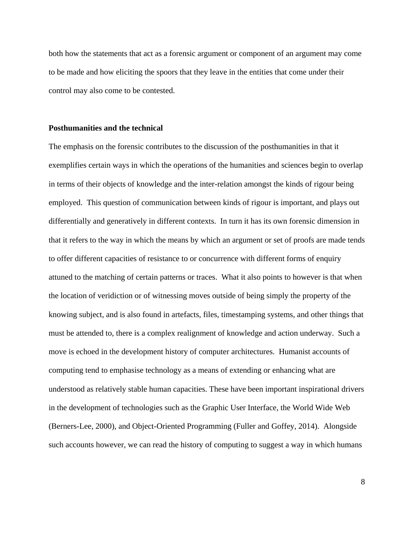both how the statements that act as a forensic argument or component of an argument may come to be made and how eliciting the spoors that they leave in the entities that come under their control may also come to be contested.

#### **Posthumanities and the technical**

The emphasis on the forensic contributes to the discussion of the posthumanities in that it exemplifies certain ways in which the operations of the humanities and sciences begin to overlap in terms of their objects of knowledge and the inter-relation amongst the kinds of rigour being employed. This question of communication between kinds of rigour is important, and plays out differentially and generatively in different contexts. In turn it has its own forensic dimension in that it refers to the way in which the means by which an argument or set of proofs are made tends to offer different capacities of resistance to or concurrence with different forms of enquiry attuned to the matching of certain patterns or traces. What it also points to however is that when the location of veridiction or of witnessing moves outside of being simply the property of the knowing subject, and is also found in artefacts, files, timestamping systems, and other things that must be attended to, there is a complex realignment of knowledge and action underway. Such a move is echoed in the development history of computer architectures. Humanist accounts of computing tend to emphasise technology as a means of extending or enhancing what are understood as relatively stable human capacities. These have been important inspirational drivers in the development of technologies such as the Graphic User Interface, the World Wide Web (Berners-Lee, 2000), and Object-Oriented Programming (Fuller and Goffey, 2014). Alongside such accounts however, we can read the history of computing to suggest a way in which humans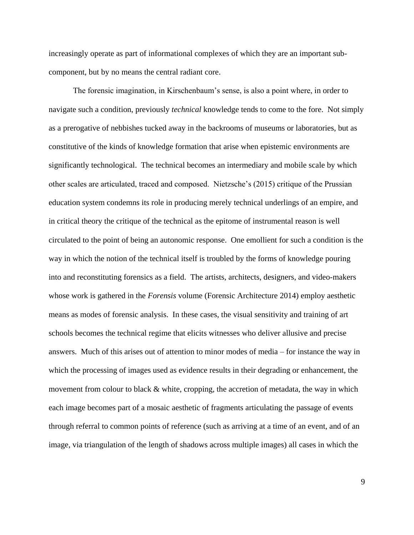increasingly operate as part of informational complexes of which they are an important subcomponent, but by no means the central radiant core.

The forensic imagination, in Kirschenbaum's sense, is also a point where, in order to navigate such a condition, previously *technical* knowledge tends to come to the fore. Not simply as a prerogative of nebbishes tucked away in the backrooms of museums or laboratories, but as constitutive of the kinds of knowledge formation that arise when epistemic environments are significantly technological. The technical becomes an intermediary and mobile scale by which other scales are articulated, traced and composed. Nietzsche's (2015) critique of the Prussian education system condemns its role in producing merely technical underlings of an empire, and in critical theory the critique of the technical as the epitome of instrumental reason is well circulated to the point of being an autonomic response. One emollient for such a condition is the way in which the notion of the technical itself is troubled by the forms of knowledge pouring into and reconstituting forensics as a field. The artists, architects, designers, and video-makers whose work is gathered in the *Forensis* volume (Forensic Architecture 2014) employ aesthetic means as modes of forensic analysis. In these cases, the visual sensitivity and training of art schools becomes the technical regime that elicits witnesses who deliver allusive and precise answers. Much of this arises out of attention to minor modes of media – for instance the way in which the processing of images used as evidence results in their degrading or enhancement, the movement from colour to black & white, cropping, the accretion of metadata, the way in which each image becomes part of a mosaic aesthetic of fragments articulating the passage of events through referral to common points of reference (such as arriving at a time of an event, and of an image, via triangulation of the length of shadows across multiple images) all cases in which the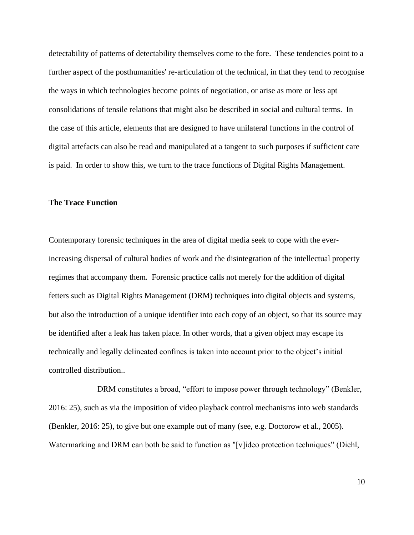detectability of patterns of detectability themselves come to the fore. These tendencies point to a further aspect of the posthumanities' re-articulation of the technical, in that they tend to recognise the ways in which technologies become points of negotiation, or arise as more or less apt consolidations of tensile relations that might also be described in social and cultural terms. In the case of this article, elements that are designed to have unilateral functions in the control of digital artefacts can also be read and manipulated at a tangent to such purposes if sufficient care is paid. In order to show this, we turn to the trace functions of Digital Rights Management.

#### **The Trace Function**

Contemporary forensic techniques in the area of digital media seek to cope with the everincreasing dispersal of cultural bodies of work and the disintegration of the intellectual property regimes that accompany them. Forensic practice calls not merely for the addition of digital fetters such as Digital Rights Management (DRM) techniques into digital objects and systems, but also the introduction of a unique identifier into each copy of an object, so that its source may be identified after a leak has taken place. In other words, that a given object may escape its technically and legally delineated confines is taken into account prior to the object's initial controlled distribution..

DRM constitutes a broad, "effort to impose power through technology" (Benkler, 2016: 25), such as via the imposition of video playback control mechanisms into web standards (Benkler, 2016: 25), to give but one example out of many (see, e.g. Doctorow et al., 2005). Watermarking and DRM can both be said to function as "[v]ideo protection techniques" (Diehl,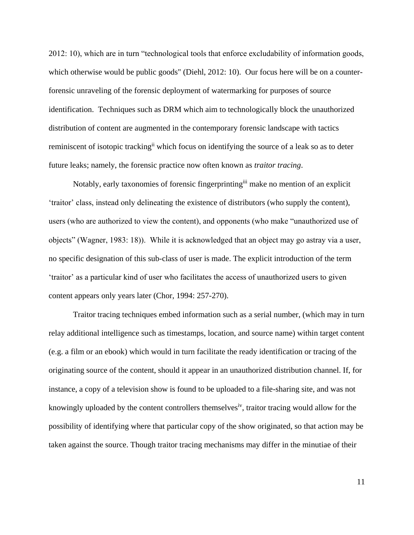2012: 10), which are in turn "technological tools that enforce excludability of information goods, which otherwise would be public goods" (Diehl, 2012: 10). Our focus here will be on a counterforensic unraveling of the forensic deployment of watermarking for purposes of source identification. Techniques such as DRM which aim to technologically block the unauthorized distribution of content are augmented in the contemporary forensic landscape with tactics reminiscent of isotopic tracking<sup>ii</sup> which focus on identifying the source of a leak so as to deter future leaks; namely, the forensic practice now often known as *traitor tracing*.

Notably, early taxonomies of forensic fingerprinting<sup>iii</sup> make no mention of an explicit 'traitor' class, instead only delineating the existence of distributors (who supply the content), users (who are authorized to view the content), and opponents (who make "unauthorized use of objects" (Wagner, 1983: 18)). While it is acknowledged that an object may go astray via a user, no specific designation of this sub-class of user is made. The explicit introduction of the term 'traitor' as a particular kind of user who facilitates the access of unauthorized users to given content appears only years later (Chor, 1994: 257-270).

Traitor tracing techniques embed information such as a serial number, (which may in turn relay additional intelligence such as timestamps, location, and source name) within target content (e.g. a film or an ebook) which would in turn facilitate the ready identification or tracing of the originating source of the content, should it appear in an unauthorized distribution channel. If, for instance, a copy of a television show is found to be uploaded to a file-sharing site, and was not knowingly uploaded by the content controllers themselves<sup>iv</sup>, traitor tracing would allow for the possibility of identifying where that particular copy of the show originated, so that action may be taken against the source. Though traitor tracing mechanisms may differ in the minutiae of their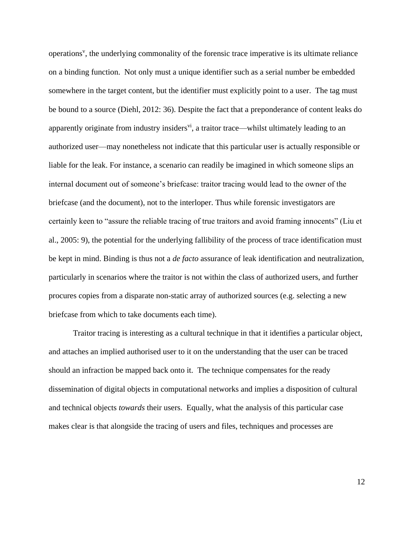operations<sup>v</sup>, the underlying commonality of the forensic trace imperative is its ultimate reliance on a binding function. Not only must a unique identifier such as a serial number be embedded somewhere in the target content, but the identifier must explicitly point to a user. The tag must be bound to a source (Diehl, 2012: 36). Despite the fact that a preponderance of content leaks do apparently originate from industry insiders<sup>vi</sup>, a traitor trace—whilst ultimately leading to an authorized user—may nonetheless not indicate that this particular user is actually responsible or liable for the leak. For instance, a scenario can readily be imagined in which someone slips an internal document out of someone's briefcase: traitor tracing would lead to the owner of the briefcase (and the document), not to the interloper. Thus while forensic investigators are certainly keen to "assure the reliable tracing of true traitors and avoid framing innocents" (Liu et al., 2005: 9), the potential for the underlying fallibility of the process of trace identification must be kept in mind. Binding is thus not a *de facto* assurance of leak identification and neutralization, particularly in scenarios where the traitor is not within the class of authorized users, and further procures copies from a disparate non-static array of authorized sources (e.g. selecting a new briefcase from which to take documents each time).

Traitor tracing is interesting as a cultural technique in that it identifies a particular object, and attaches an implied authorised user to it on the understanding that the user can be traced should an infraction be mapped back onto it. The technique compensates for the ready dissemination of digital objects in computational networks and implies a disposition of cultural and technical objects *towards* their users. Equally, what the analysis of this particular case makes clear is that alongside the tracing of users and files, techniques and processes are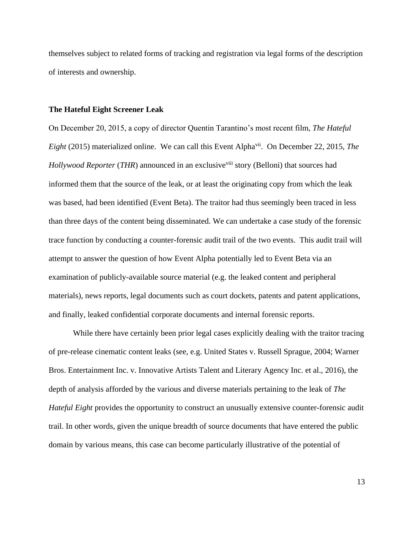themselves subject to related forms of tracking and registration via legal forms of the description of interests and ownership.

#### **The Hateful Eight Screener Leak**

On December 20, 2015, a copy of director Quentin Tarantino's most recent film, *The Hateful Eight* (2015) materialized online. We can call this Event Alpha<sup>vii</sup>. On December 22, 2015, *The Hollywood Reporter* (*THR*) announced in an exclusive<sup>viii</sup> story (Belloni) that sources had informed them that the source of the leak, or at least the originating copy from which the leak was based, had been identified (Event Beta). The traitor had thus seemingly been traced in less than three days of the content being disseminated. We can undertake a case study of the forensic trace function by conducting a counter-forensic audit trail of the two events. This audit trail will attempt to answer the question of how Event Alpha potentially led to Event Beta via an examination of publicly-available source material (e.g. the leaked content and peripheral materials), news reports, legal documents such as court dockets, patents and patent applications, and finally, leaked confidential corporate documents and internal forensic reports.

While there have certainly been prior legal cases explicitly dealing with the traitor tracing of pre-release cinematic content leaks (see, e.g. United States v. Russell Sprague, 2004; Warner Bros. Entertainment Inc. v. Innovative Artists Talent and Literary Agency Inc. et al., 2016), the depth of analysis afforded by the various and diverse materials pertaining to the leak of *The Hateful Eight* provides the opportunity to construct an unusually extensive counter-forensic audit trail. In other words, given the unique breadth of source documents that have entered the public domain by various means, this case can become particularly illustrative of the potential of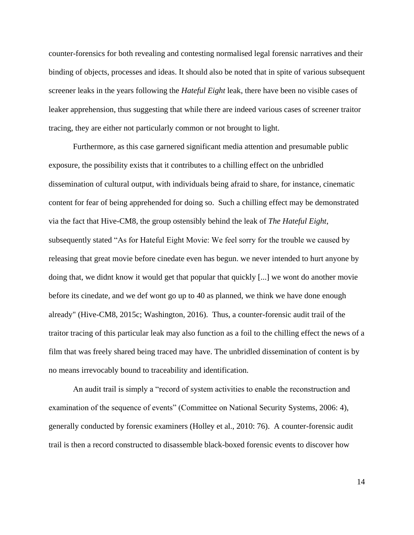counter-forensics for both revealing and contesting normalised legal forensic narratives and their binding of objects, processes and ideas. It should also be noted that in spite of various subsequent screener leaks in the years following the *Hateful Eight* leak, there have been no visible cases of leaker apprehension, thus suggesting that while there are indeed various cases of screener traitor tracing, they are either not particularly common or not brought to light.

Furthermore, as this case garnered significant media attention and presumable public exposure, the possibility exists that it contributes to a chilling effect on the unbridled dissemination of cultural output, with individuals being afraid to share, for instance, cinematic content for fear of being apprehended for doing so. Such a chilling effect may be demonstrated via the fact that Hive-CM8, the group ostensibly behind the leak of *The Hateful Eight*, subsequently stated "As for Hateful Eight Movie: We feel sorry for the trouble we caused by releasing that great movie before cinedate even has begun. we never intended to hurt anyone by doing that, we didnt know it would get that popular that quickly [...] we wont do another movie before its cinedate, and we def wont go up to 40 as planned, we think we have done enough already" (Hive-CM8, 2015c; Washington, 2016). Thus, a counter-forensic audit trail of the traitor tracing of this particular leak may also function as a foil to the chilling effect the news of a film that was freely shared being traced may have. The unbridled dissemination of content is by no means irrevocably bound to traceability and identification.

An audit trail is simply a "record of system activities to enable the reconstruction and examination of the sequence of events" (Committee on National Security Systems, 2006: 4), generally conducted by forensic examiners (Holley et al., 2010: 76). A counter-forensic audit trail is then a record constructed to disassemble black-boxed forensic events to discover how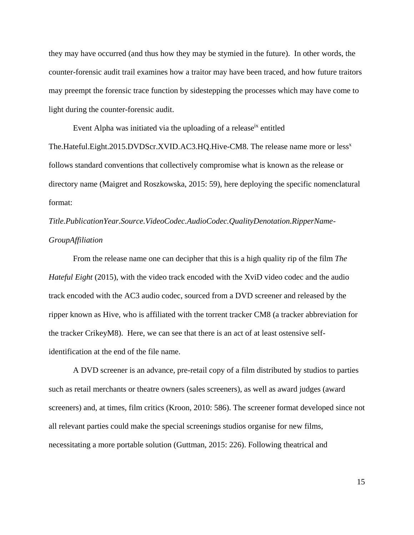they may have occurred (and thus how they may be stymied in the future). In other words, the counter-forensic audit trail examines how a traitor may have been traced, and how future traitors may preempt the forensic trace function by sidestepping the processes which may have come to light during the counter-forensic audit.

Event Alpha was initiated via the uploading of a release<sup>ix</sup> entitled The.Hateful.Eight.2015.DVDScr.XVID.AC3.HQ.Hive-CM8. The release name more or less<sup>x</sup> follows standard conventions that collectively compromise what is known as the release or directory name (Maigret and Roszkowska, 2015: 59), here deploying the specific nomenclatural format:

# *Title.PublicationYear.Source.VideoCodec.AudioCodec.QualityDenotation.RipperName-GroupAffiliation*

From the release name one can decipher that this is a high quality rip of the film *The Hateful Eight* (2015), with the video track encoded with the XviD video codec and the audio track encoded with the AC3 audio codec, sourced from a DVD screener and released by the ripper known as Hive, who is affiliated with the torrent tracker CM8 (a tracker abbreviation for the tracker CrikeyM8). Here, we can see that there is an act of at least ostensive selfidentification at the end of the file name.

A DVD screener is an advance, pre-retail copy of a film distributed by studios to parties such as retail merchants or theatre owners (sales screeners), as well as award judges (award screeners) and, at times, film critics (Kroon, 2010: 586). The screener format developed since not all relevant parties could make the special screenings studios organise for new films, necessitating a more portable solution (Guttman, 2015: 226). Following theatrical and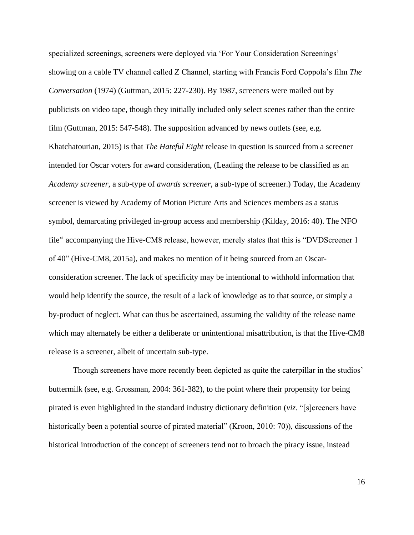specialized screenings, screeners were deployed via 'For Your Consideration Screenings' showing on a cable TV channel called Z Channel, starting with Francis Ford Coppola's film *The Conversation* (1974) (Guttman, 2015: 227-230). By 1987, screeners were mailed out by publicists on video tape, though they initially included only select scenes rather than the entire film (Guttman, 2015: 547-548). The supposition advanced by news outlets (see, e.g. Khatchatourian, 2015) is that *The Hateful Eight* release in question is sourced from a screener intended for Oscar voters for award consideration, (Leading the release to be classified as an *Academy screener*, a sub-type of *awards screener*, a sub-type of screener.) Today, the Academy screener is viewed by Academy of Motion Picture Arts and Sciences members as a status symbol, demarcating privileged in-group access and membership (Kilday, 2016: 40). The NFO file<sup>xi</sup> accompanying the Hive-CM8 release, however, merely states that this is "DVDScreener 1 of 40" (Hive-CM8, 2015a), and makes no mention of it being sourced from an Oscarconsideration screener. The lack of specificity may be intentional to withhold information that would help identify the source, the result of a lack of knowledge as to that source, or simply a by-product of neglect. What can thus be ascertained, assuming the validity of the release name which may alternately be either a deliberate or unintentional misattribution, is that the Hive-CM8 release is a screener, albeit of uncertain sub-type.

Though screeners have more recently been depicted as quite the caterpillar in the studios' buttermilk (see, e.g. Grossman, 2004: 361-382), to the point where their propensity for being pirated is even highlighted in the standard industry dictionary definition (*viz.* "[s]creeners have historically been a potential source of pirated material" (Kroon, 2010: 70)), discussions of the historical introduction of the concept of screeners tend not to broach the piracy issue, instead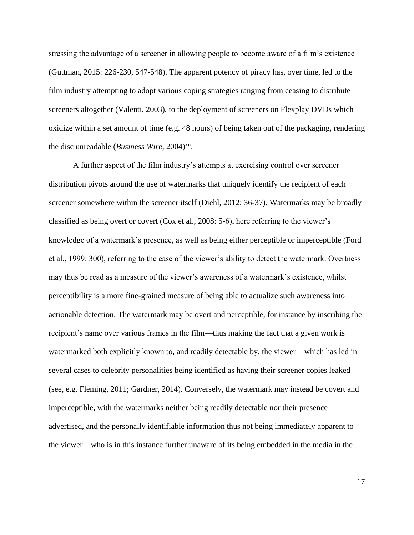stressing the advantage of a screener in allowing people to become aware of a film's existence (Guttman, 2015: 226-230, 547-548). The apparent potency of piracy has, over time, led to the film industry attempting to adopt various coping strategies ranging from ceasing to distribute screeners altogether (Valenti, 2003), to the deployment of screeners on Flexplay DVDs which oxidize within a set amount of time (e.g. 48 hours) of being taken out of the packaging, rendering the disc unreadable (*Business Wire*, 2004)<sup>xii</sup>.

A further aspect of the film industry's attempts at exercising control over screener distribution pivots around the use of watermarks that uniquely identify the recipient of each screener somewhere within the screener itself (Diehl, 2012: 36-37). Watermarks may be broadly classified as being overt or covert (Cox et al., 2008: 5-6), here referring to the viewer's knowledge of a watermark's presence, as well as being either perceptible or imperceptible (Ford et al., 1999: 300), referring to the ease of the viewer's ability to detect the watermark. Overtness may thus be read as a measure of the viewer's awareness of a watermark's existence, whilst perceptibility is a more fine-grained measure of being able to actualize such awareness into actionable detection. The watermark may be overt and perceptible, for instance by inscribing the recipient's name over various frames in the film—thus making the fact that a given work is watermarked both explicitly known to, and readily detectable by, the viewer—which has led in several cases to celebrity personalities being identified as having their screener copies leaked (see, e.g. Fleming, 2011; Gardner, 2014). Conversely, the watermark may instead be covert and imperceptible, with the watermarks neither being readily detectable nor their presence advertised, and the personally identifiable information thus not being immediately apparent to the viewer—who is in this instance further unaware of its being embedded in the media in the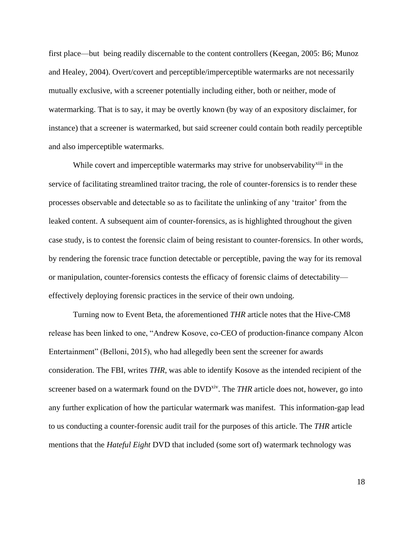first place—but being readily discernable to the content controllers (Keegan, 2005: B6; Munoz and Healey, 2004). Overt/covert and perceptible/imperceptible watermarks are not necessarily mutually exclusive, with a screener potentially including either, both or neither, mode of watermarking. That is to say, it may be overtly known (by way of an expository disclaimer, for instance) that a screener is watermarked, but said screener could contain both readily perceptible and also imperceptible watermarks.

While covert and imperceptible watermarks may strive for unobservability<sup>xiii</sup> in the service of facilitating streamlined traitor tracing, the role of counter-forensics is to render these processes observable and detectable so as to facilitate the unlinking of any 'traitor' from the leaked content. A subsequent aim of counter-forensics, as is highlighted throughout the given case study, is to contest the forensic claim of being resistant to counter-forensics. In other words, by rendering the forensic trace function detectable or perceptible, paving the way for its removal or manipulation, counter-forensics contests the efficacy of forensic claims of detectability effectively deploying forensic practices in the service of their own undoing.

Turning now to Event Beta, the aforementioned *THR* article notes that the Hive-CM8 release has been linked to one, "Andrew Kosove, co-CEO of production-finance company Alcon Entertainment" (Belloni, 2015), who had allegedly been sent the screener for awards consideration. The FBI, writes *THR*, was able to identify Kosove as the intended recipient of the screener based on a watermark found on the DVD<sup>xiv</sup>. The *THR* article does not, however, go into any further explication of how the particular watermark was manifest. This information-gap lead to us conducting a counter-forensic audit trail for the purposes of this article. The *THR* article mentions that the *Hateful Eight* DVD that included (some sort of) watermark technology was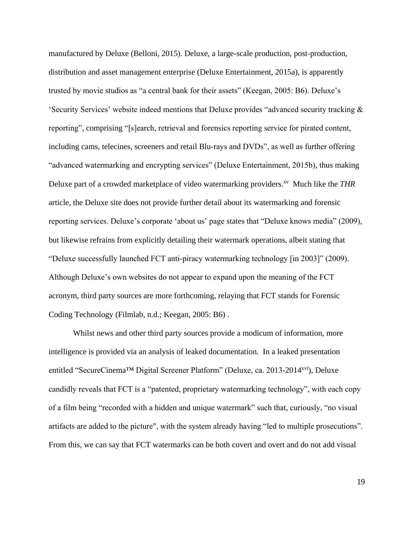manufactured by Deluxe (Belloni, 2015). Deluxe, a large-scale production, post-production, distribution and asset management enterprise (Deluxe Entertainment, 2015a), is apparently trusted by movie studios as "a central bank for their assets" (Keegan, 2005: B6). Deluxe's 'Security Services' website indeed mentions that Deluxe provides "advanced security tracking & reporting", comprising "[s]earch, retrieval and forensics reporting service for pirated content, including cams, telecines, screeners and retail Blu-rays and DVDs", as well as further offering "advanced watermarking and encrypting services" (Deluxe Entertainment, 2015b), thus making Deluxe part of a crowded marketplace of video watermarking providers.<sup>xv</sup> Much like the *THR* article, the Deluxe site does not provide further detail about its watermarking and forensic reporting services. Deluxe's corporate 'about us' page states that "Deluxe knows media" (2009), but likewise refrains from explicitly detailing their watermark operations, albeit stating that "Deluxe successfully launched FCT anti-piracy watermarking technology [in 2003]" (2009). Although Deluxe's own websites do not appear to expand upon the meaning of the FCT acronym, third party sources are more forthcoming, relaying that FCT stands for Forensic Coding Technology (Filmlab, n.d.; Keegan, 2005: B6) .

Whilst news and other third party sources provide a modicum of information, more intelligence is provided via an analysis of leaked documentation. In a leaked presentation entitled "SecureCinema™ Digital Screener Platform" (Deluxe, ca. 2013-2014xvi), Deluxe candidly reveals that FCT is a "patented, proprietary watermarking technology", with each copy of a film being "recorded with a hidden and unique watermark" such that, curiously, "no visual artifacts are added to the picture", with the system already having "led to multiple prosecutions". From this, we can say that FCT watermarks can be both covert and overt and do not add visual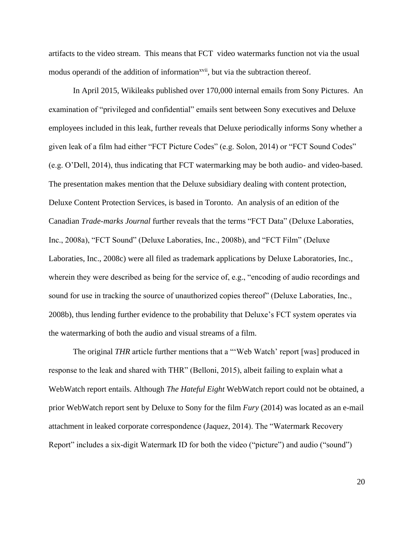artifacts to the video stream. This means that FCT video watermarks function not via the usual modus operandi of the addition of information<sup>xvii</sup>, but via the subtraction thereof.

In April 2015, Wikileaks published over 170,000 internal emails from Sony Pictures. An examination of "privileged and confidential" emails sent between Sony executives and Deluxe employees included in this leak, further reveals that Deluxe periodically informs Sony whether a given leak of a film had either "FCT Picture Codes" (e.g. Solon, 2014) or "FCT Sound Codes" (e.g. O'Dell, 2014), thus indicating that FCT watermarking may be both audio- and video-based. The presentation makes mention that the Deluxe subsidiary dealing with content protection, Deluxe Content Protection Services, is based in Toronto. An analysis of an edition of the Canadian *Trade-marks Journal* further reveals that the terms "FCT Data" (Deluxe Laboraties, Inc., 2008a), "FCT Sound" (Deluxe Laboraties, Inc., 2008b), and "FCT Film" (Deluxe Laboraties, Inc., 2008c) were all filed as trademark applications by Deluxe Laboratories, Inc., wherein they were described as being for the service of, e.g., "encoding of audio recordings and sound for use in tracking the source of unauthorized copies thereof" (Deluxe Laboraties, Inc., 2008b), thus lending further evidence to the probability that Deluxe's FCT system operates via the watermarking of both the audio and visual streams of a film.

The original *THR* article further mentions that a "'Web Watch' report [was] produced in response to the leak and shared with THR" (Belloni, 2015), albeit failing to explain what a WebWatch report entails. Although *The Hateful Eight* WebWatch report could not be obtained, a prior WebWatch report sent by Deluxe to Sony for the film *Fury* (2014) was located as an e-mail attachment in leaked corporate correspondence (Jaquez, 2014). The "Watermark Recovery Report" includes a six-digit Watermark ID for both the video ("picture") and audio ("sound")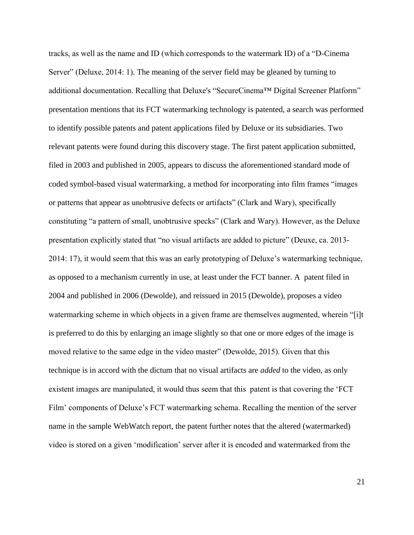tracks, as well as the name and ID (which corresponds to the watermark ID) of a "D-Cinema Server" (Deluxe, 2014: 1). The meaning of the server field may be gleaned by turning to additional documentation. Recalling that Deluxe's "SecureCinema™ Digital Screener Platform" presentation mentions that its FCT watermarking technology is patented, a search was performed to identify possible patents and patent applications filed by Deluxe or its subsidiaries. Two relevant patents were found during this discovery stage. The first patent application submitted, filed in 2003 and published in 2005, appears to discuss the aforementioned standard mode of coded symbol-based visual watermarking, a method for incorporating into film frames "images or patterns that appear as unobtrusive defects or artifacts" (Clark and Wary), specifically constituting "a pattern of small, unobtrusive specks" (Clark and Wary). However, as the Deluxe presentation explicitly stated that "no visual artifacts are added to picture" (Deuxe, ca. 2013- 2014: 17), it would seem that this was an early prototyping of Deluxe's watermarking technique, as opposed to a mechanism currently in use, at least under the FCT banner. A patent filed in 2004 and published in 2006 (Dewolde), and reissued in 2015 (Dewolde), proposes a video watermarking scheme in which objects in a given frame are themselves augmented, wherein "[i]t is preferred to do this by enlarging an image slightly so that one or more edges of the image is moved relative to the same edge in the video master" (Dewolde, 2015). Given that this technique is in accord with the dictum that no visual artifacts are *added* to the video, as only existent images are manipulated, it would thus seem that this patent is that covering the 'FCT Film' components of Deluxe's FCT watermarking schema. Recalling the mention of the server name in the sample WebWatch report, the patent further notes that the altered (watermarked) video is stored on a given 'modification' server after it is encoded and watermarked from the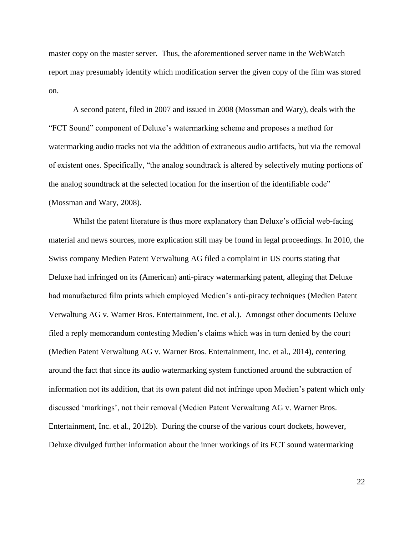master copy on the master server. Thus, the aforementioned server name in the WebWatch report may presumably identify which modification server the given copy of the film was stored on.

A second patent, filed in 2007 and issued in 2008 (Mossman and Wary), deals with the "FCT Sound" component of Deluxe's watermarking scheme and proposes a method for watermarking audio tracks not via the addition of extraneous audio artifacts, but via the removal of existent ones. Specifically, "the analog soundtrack is altered by selectively muting portions of the analog soundtrack at the selected location for the insertion of the identifiable code" (Mossman and Wary, 2008).

Whilst the patent literature is thus more explanatory than Deluxe's official web-facing material and news sources, more explication still may be found in legal proceedings. In 2010, the Swiss company Medien Patent Verwaltung AG filed a complaint in US courts stating that Deluxe had infringed on its (American) anti-piracy watermarking patent, alleging that Deluxe had manufactured film prints which employed Medien's anti-piracy techniques (Medien Patent Verwaltung AG v. Warner Bros. Entertainment, Inc. et al.). Amongst other documents Deluxe filed a reply memorandum contesting Medien's claims which was in turn denied by the court (Medien Patent Verwaltung AG v. Warner Bros. Entertainment, Inc. et al., 2014), centering around the fact that since its audio watermarking system functioned around the subtraction of information not its addition, that its own patent did not infringe upon Medien's patent which only discussed 'markings', not their removal (Medien Patent Verwaltung AG v. Warner Bros. Entertainment, Inc. et al., 2012b). During the course of the various court dockets, however, Deluxe divulged further information about the inner workings of its FCT sound watermarking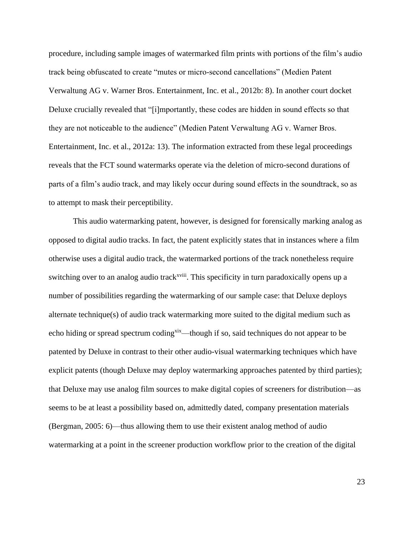procedure, including sample images of watermarked film prints with portions of the film's audio track being obfuscated to create "mutes or micro-second cancellations" (Medien Patent Verwaltung AG v. Warner Bros. Entertainment, Inc. et al., 2012b: 8). In another court docket Deluxe crucially revealed that "[i]mportantly, these codes are hidden in sound effects so that they are not noticeable to the audience" (Medien Patent Verwaltung AG v. Warner Bros. Entertainment, Inc. et al., 2012a: 13). The information extracted from these legal proceedings reveals that the FCT sound watermarks operate via the deletion of micro-second durations of parts of a film's audio track, and may likely occur during sound effects in the soundtrack, so as to attempt to mask their perceptibility.

This audio watermarking patent, however, is designed for forensically marking analog as opposed to digital audio tracks. In fact, the patent explicitly states that in instances where a film otherwise uses a digital audio track, the watermarked portions of the track nonetheless require switching over to an analog audio track<sup>xviii</sup>. This specificity in turn paradoxically opens up a number of possibilities regarding the watermarking of our sample case: that Deluxe deploys alternate technique(s) of audio track watermarking more suited to the digital medium such as echo hiding or spread spectrum coding<sup>xix</sup>—though if so, said techniques do not appear to be patented by Deluxe in contrast to their other audio-visual watermarking techniques which have explicit patents (though Deluxe may deploy watermarking approaches patented by third parties); that Deluxe may use analog film sources to make digital copies of screeners for distribution—as seems to be at least a possibility based on, admittedly dated, company presentation materials (Bergman, 2005: 6)—thus allowing them to use their existent analog method of audio watermarking at a point in the screener production workflow prior to the creation of the digital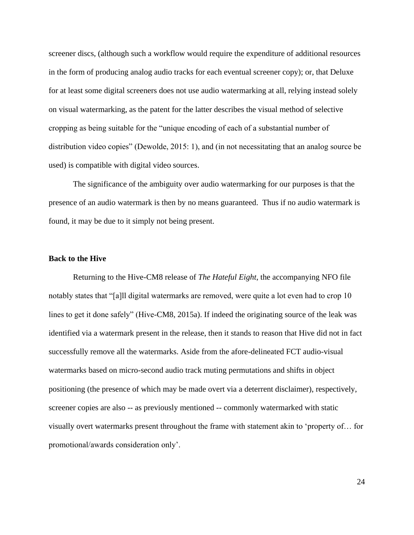screener discs, (although such a workflow would require the expenditure of additional resources in the form of producing analog audio tracks for each eventual screener copy); or, that Deluxe for at least some digital screeners does not use audio watermarking at all, relying instead solely on visual watermarking, as the patent for the latter describes the visual method of selective cropping as being suitable for the "unique encoding of each of a substantial number of distribution video copies" (Dewolde, 2015: 1), and (in not necessitating that an analog source be used) is compatible with digital video sources.

The significance of the ambiguity over audio watermarking for our purposes is that the presence of an audio watermark is then by no means guaranteed. Thus if no audio watermark is found, it may be due to it simply not being present.

#### **Back to the Hive**

Returning to the Hive-CM8 release of *The Hateful Eight*, the accompanying NFO file notably states that "[a]ll digital watermarks are removed, were quite a lot even had to crop 10 lines to get it done safely" (Hive-CM8, 2015a). If indeed the originating source of the leak was identified via a watermark present in the release, then it stands to reason that Hive did not in fact successfully remove all the watermarks. Aside from the afore-delineated FCT audio-visual watermarks based on micro-second audio track muting permutations and shifts in object positioning (the presence of which may be made overt via a deterrent disclaimer), respectively, screener copies are also -- as previously mentioned -- commonly watermarked with static visually overt watermarks present throughout the frame with statement akin to 'property of… for promotional/awards consideration only'.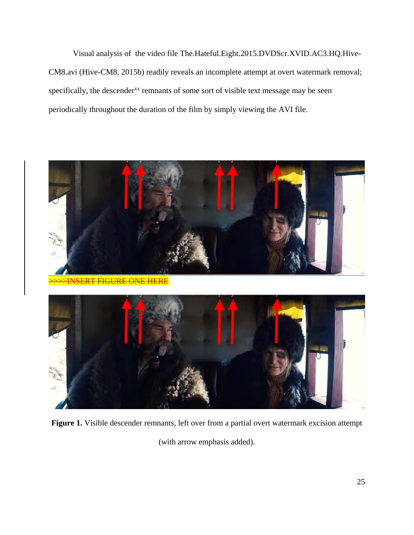Visual analysis of the video file The.Hateful.Eight.2015.DVDScr.XVID.AC3.HQ.Hive-CM8.avi (Hive-CM8, 2015b) readily reveals an incomplete attempt at overt watermark removal; specifically, the descender<sup>xx</sup> remnants of some sort of visible text message may be seen periodically throughout the duration of the film by simply viewing the AVI file.



>>>>INSERT FIGURE ONE HERE



**Figure 1.** Visible descender remnants, left over from a partial overt watermark excision attempt (with arrow emphasis added).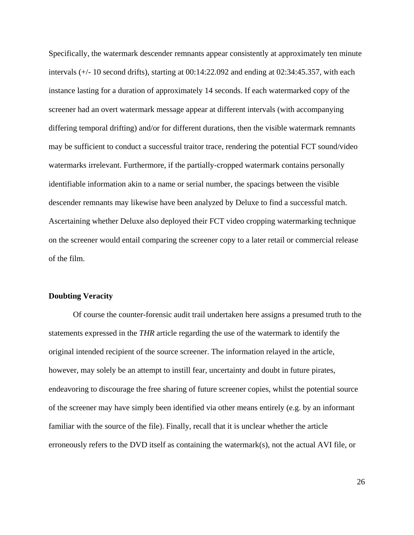Specifically, the watermark descender remnants appear consistently at approximately ten minute intervals (+/- 10 second drifts), starting at 00:14:22.092 and ending at 02:34:45.357, with each instance lasting for a duration of approximately 14 seconds. If each watermarked copy of the screener had an overt watermark message appear at different intervals (with accompanying differing temporal drifting) and/or for different durations, then the visible watermark remnants may be sufficient to conduct a successful traitor trace, rendering the potential FCT sound/video watermarks irrelevant. Furthermore, if the partially-cropped watermark contains personally identifiable information akin to a name or serial number, the spacings between the visible descender remnants may likewise have been analyzed by Deluxe to find a successful match. Ascertaining whether Deluxe also deployed their FCT video cropping watermarking technique on the screener would entail comparing the screener copy to a later retail or commercial release of the film.

#### **Doubting Veracity**

Of course the counter-forensic audit trail undertaken here assigns a presumed truth to the statements expressed in the *THR* article regarding the use of the watermark to identify the original intended recipient of the source screener. The information relayed in the article, however, may solely be an attempt to instill fear, uncertainty and doubt in future pirates, endeavoring to discourage the free sharing of future screener copies, whilst the potential source of the screener may have simply been identified via other means entirely (e.g. by an informant familiar with the source of the file). Finally, recall that it is unclear whether the article erroneously refers to the DVD itself as containing the watermark(s), not the actual AVI file, or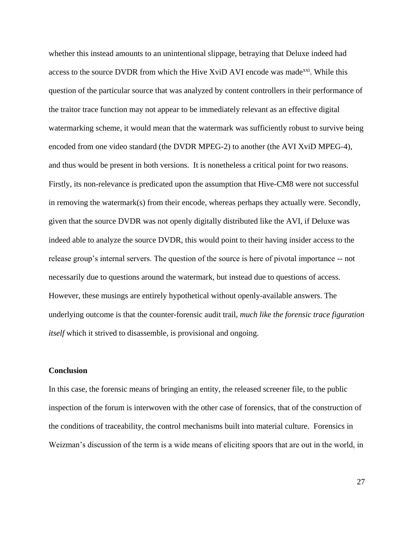whether this instead amounts to an unintentional slippage, betraying that Deluxe indeed had access to the source DVDR from which the Hive XviD AVI encode was made<sup>xxi</sup>. While this question of the particular source that was analyzed by content controllers in their performance of the traitor trace function may not appear to be immediately relevant as an effective digital watermarking scheme, it would mean that the watermark was sufficiently robust to survive being encoded from one video standard (the DVDR MPEG-2) to another (the AVI XviD MPEG-4), and thus would be present in both versions. It is nonetheless a critical point for two reasons. Firstly, its non-relevance is predicated upon the assumption that Hive-CM8 were not successful in removing the watermark(s) from their encode, whereas perhaps they actually were. Secondly, given that the source DVDR was not openly digitally distributed like the AVI, if Deluxe was indeed able to analyze the source DVDR, this would point to their having insider access to the release group's internal servers. The question of the source is here of pivotal importance -- not necessarily due to questions around the watermark, but instead due to questions of access. However, these musings are entirely hypothetical without openly-available answers. The underlying outcome is that the counter-forensic audit trail, *much like the forensic trace figuration itself* which it strived to disassemble, is provisional and ongoing.

#### **Conclusion**

In this case, the forensic means of bringing an entity, the released screener file, to the public inspection of the forum is interwoven with the other case of forensics, that of the construction of the conditions of traceability, the control mechanisms built into material culture.Forensics in Weizman's discussion of the term is a wide means of eliciting spoors that are out in the world, in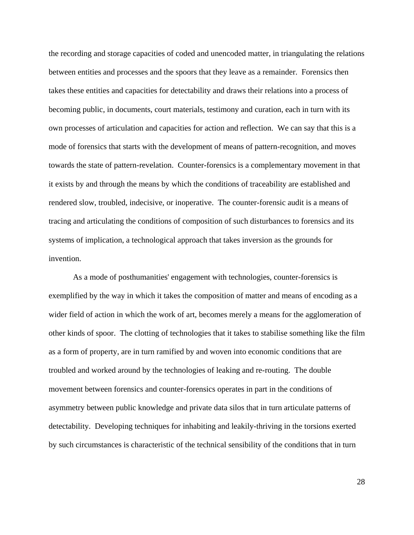the recording and storage capacities of coded and unencoded matter, in triangulating the relations between entities and processes and the spoors that they leave as a remainder. Forensics then takes these entities and capacities for detectability and draws their relations into a process of becoming public, in documents, court materials, testimony and curation, each in turn with its own processes of articulation and capacities for action and reflection. We can say that this is a mode of forensics that starts with the development of means of pattern-recognition, and moves towards the state of pattern-revelation.Counter-forensics is a complementary movement in that it exists by and through the means by which the conditions of traceability are established and rendered slow, troubled, indecisive, or inoperative. The counter-forensic audit is a means of tracing and articulating the conditions of composition of such disturbances to forensics and its systems of implication, a technological approach that takes inversion as the grounds for invention.

As a mode of posthumanities' engagement with technologies, counter-forensics is exemplified by the way in which it takes the composition of matter and means of encoding as a wider field of action in which the work of art, becomes merely a means for the agglomeration of other kinds of spoor. The clotting of technologies that it takes to stabilise something like the film as a form of property, are in turn ramified by and woven into economic conditions that are troubled and worked around by the technologies of leaking and re-routing. The double movement between forensics and counter-forensics operates in part in the conditions of asymmetry between public knowledge and private data silos that in turn articulate patterns of detectability. Developing techniques for inhabiting and leakily-thriving in the torsions exerted by such circumstances is characteristic of the technical sensibility of the conditions that in turn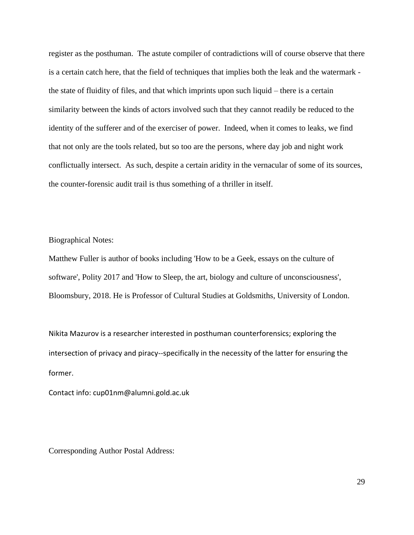register as the posthuman. The astute compiler of contradictions will of course observe that there is a certain catch here, that the field of techniques that implies both the leak and the watermark the state of fluidity of files, and that which imprints upon such liquid – there is a certain similarity between the kinds of actors involved such that they cannot readily be reduced to the identity of the sufferer and of the exerciser of power. Indeed, when it comes to leaks, we find that not only are the tools related, but so too are the persons, where day job and night work conflictually intersect. As such, despite a certain aridity in the vernacular of some of its sources, the counter-forensic audit trail is thus something of a thriller in itself.

Biographical Notes:

Matthew Fuller is author of books including 'How to be a Geek, essays on the culture of software', Polity 2017 and 'How to Sleep, the art, biology and culture of unconsciousness', Bloomsbury, 2018. He is Professor of Cultural Studies at Goldsmiths, University of London.

Nikita Mazurov is a researcher interested in posthuman counterforensics; exploring the intersection of privacy and piracy--specifically in the necessity of the latter for ensuring the former.

Contact info: cup01nm@alumni.gold.ac.uk

Corresponding Author Postal Address: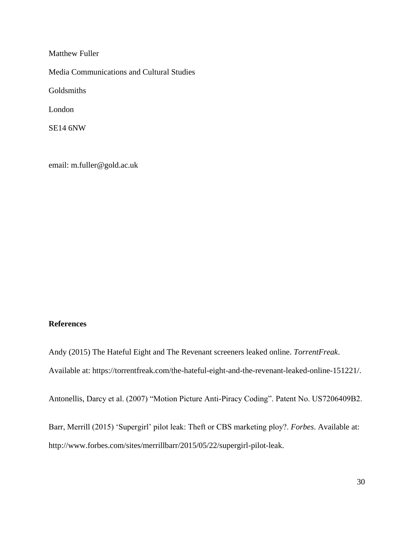Matthew Fuller

Media Communications and Cultural Studies

Goldsmiths

London

SE14 6NW

email: m.fuller@gold.ac.uk

# **References**

Andy (2015) The Hateful Eight and The Revenant screeners leaked online. *TorrentFreak*. Available at: https://torrentfreak.com/the-hateful-eight-and-the-revenant-leaked-online-151221/. Antonellis, Darcy et al. (2007) "Motion Picture Anti-Piracy Coding". Patent No. US7206409B2.

Barr, Merrill (2015) 'Supergirl' pilot leak: Theft or CBS marketing ploy?. *Forbes*. Available at: http://www.forbes.com/sites/merrillbarr/2015/05/22/supergirl-pilot-leak.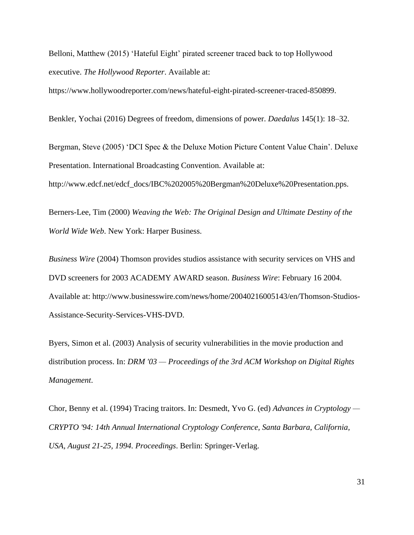Belloni, Matthew (2015) 'Hateful Eight' pirated screener traced back to top Hollywood executive. *The Hollywood Reporter*. Available at:

https://www.hollywoodreporter.com/news/hateful-eight-pirated-screener-traced-850899.

Benkler, Yochai (2016) Degrees of freedom, dimensions of power. *Daedalus* 145(1): 18–32.

Bergman, Steve (2005) 'DCI Spec & the Deluxe Motion Picture Content Value Chain'. Deluxe Presentation. International Broadcasting Convention. Available at:

http://www.edcf.net/edcf\_docs/IBC%202005%20Bergman%20Deluxe%20Presentation.pps.

Berners-Lee, Tim (2000) *Weaving the Web: The Original Design and Ultimate Destiny of the World Wide Web*. New York: Harper Business.

*Business Wire* (2004) Thomson provides studios assistance with security services on VHS and DVD screeners for 2003 ACADEMY AWARD season. *Business Wire*: February 16 2004. Available at: http://www.businesswire.com/news/home/20040216005143/en/Thomson-Studios-Assistance-Security-Services-VHS-DVD.

Byers, Simon et al. (2003) Analysis of security vulnerabilities in the movie production and distribution process. In: *DRM '03 — Proceedings of the 3rd ACM Workshop on Digital Rights Management*.

Chor, Benny et al. (1994) Tracing traitors. In: Desmedt, Yvo G. (ed) *Advances in Cryptology — CRYPTO '94: 14th Annual International Cryptology Conference, Santa Barbara, California, USA, August 21-25, 1994. Proceedings*. Berlin: Springer-Verlag.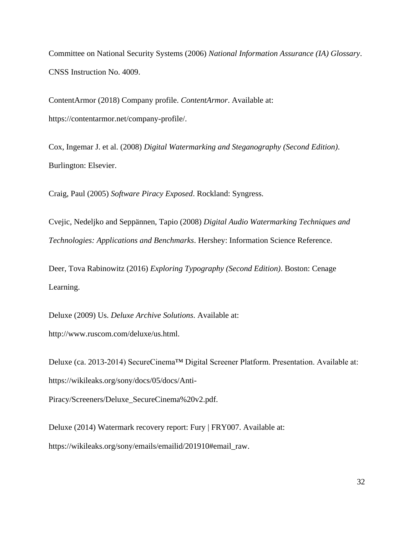Committee on National Security Systems (2006) *National Information Assurance (IA) Glossary*. CNSS Instruction No. 4009.

ContentArmor (2018) Company profile. *ContentArmor*. Available at: https://contentarmor.net/company-profile/.

Cox, Ingemar J. et al. (2008) *Digital Watermarking and Steganography (Second Edition)*. Burlington: Elsevier.

Craig, Paul (2005) *Software Piracy Exposed*. Rockland: Syngress.

Cvejic, Nedeljko and Seppännen, Tapio (2008) *Digital Audio Watermarking Techniques and Technologies: Applications and Benchmarks*. Hershey: Information Science Reference.

Deer, Tova Rabinowitz (2016) *Exploring Typography (Second Edition)*. Boston: Cenage Learning.

Deluxe (2009) Us. *Deluxe Archive Solutions*. Available at:

http://www.ruscom.com/deluxe/us.html.

Deluxe (ca. 2013-2014) SecureCinema™ Digital Screener Platform. Presentation. Available at: https://wikileaks.org/sony/docs/05/docs/Anti-

Piracy/Screeners/Deluxe\_SecureCinema%20v2.pdf.

Deluxe (2014) Watermark recovery report: Fury | FRY007. Available at: https://wikileaks.org/sony/emails/emailid/201910#email\_raw.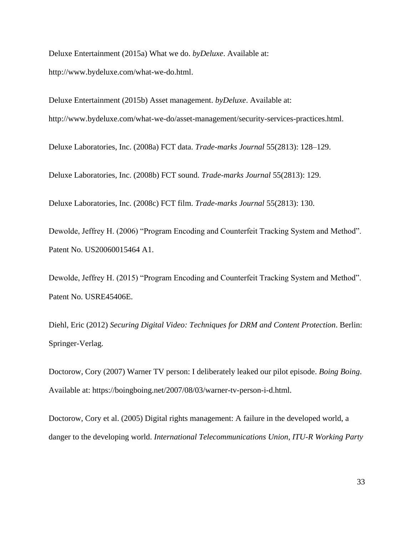Deluxe Entertainment (2015a) What we do. *byDeluxe*. Available at: http://www.bydeluxe.com/what-we-do.html.

Deluxe Entertainment (2015b) Asset management. *byDeluxe*. Available at: http://www.bydeluxe.com/what-we-do/asset-management/security-services-practices.html.

Deluxe Laboratories, Inc. (2008a) FCT data. *Trade-marks Journal* 55(2813): 128–129.

Deluxe Laboratories, Inc. (2008b) FCT sound. *Trade-marks Journal* 55(2813): 129.

Deluxe Laboratories, Inc. (2008c) FCT film. *Trade-marks Journal* 55(2813): 130.

Dewolde, Jeffrey H. (2006) "Program Encoding and Counterfeit Tracking System and Method". Patent No. US20060015464 A1.

Dewolde, Jeffrey H. (2015) "Program Encoding and Counterfeit Tracking System and Method". Patent No. USRE45406E.

Diehl, Eric (2012) *Securing Digital Video: Techniques for DRM and Content Protection*. Berlin: Springer-Verlag.

Doctorow, Cory (2007) Warner TV person: I deliberately leaked our pilot episode. *Boing Boing*. Available at: https://boingboing.net/2007/08/03/warner-tv-person-i-d.html.

Doctorow, Cory et al. (2005) Digital rights management: A failure in the developed world, a danger to the developing world. *International Telecommunications Union, ITU-R Working Party*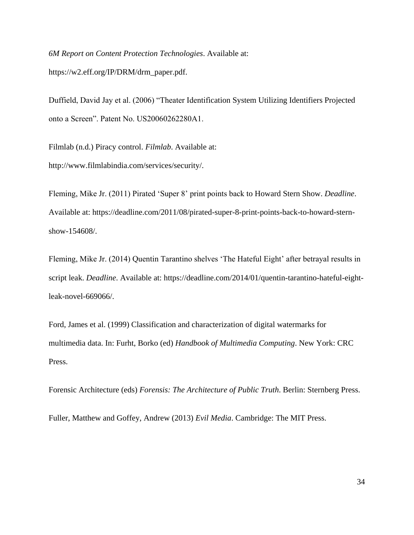*6M Report on Content Protection Technologies*. Available at: https://w2.eff.org/IP/DRM/drm\_paper.pdf.

Duffield, David Jay et al. (2006) "Theater Identification System Utilizing Identifiers Projected onto a Screen". Patent No. US20060262280A1.

Filmlab (n.d.) Piracy control. *Filmlab*. Available at: http://www.filmlabindia.com/services/security/.

Fleming, Mike Jr. (2011) Pirated 'Super 8' print points back to Howard Stern Show. *Deadline*. Available at: https://deadline.com/2011/08/pirated-super-8-print-points-back-to-howard-sternshow-154608/.

Fleming, Mike Jr. (2014) Quentin Tarantino shelves 'The Hateful Eight' after betrayal results in script leak. *Deadline*. Available at: https://deadline.com/2014/01/quentin-tarantino-hateful-eightleak-novel-669066/.

Ford, James et al. (1999) Classification and characterization of digital watermarks for multimedia data. In: Furht, Borko (ed) *Handbook of Multimedia Computing*. New York: CRC Press.

Forensic Architecture (eds) *Forensis: The Architecture of Public Truth*. Berlin: Sternberg Press.

Fuller, Matthew and Goffey, Andrew (2013) *Evil Media*. Cambridge: The MIT Press.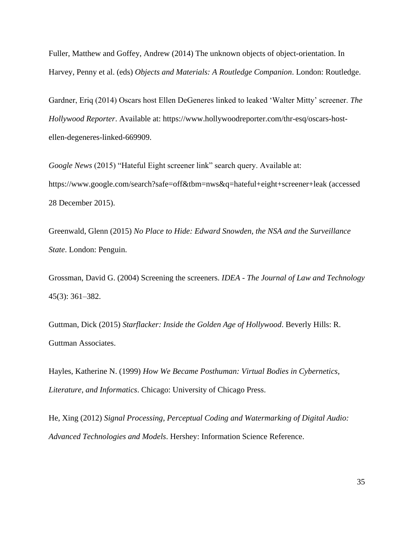Fuller, Matthew and Goffey, Andrew (2014) The unknown objects of object-orientation. In Harvey, Penny et al. (eds) *Objects and Materials: A Routledge Companion*. London: Routledge.

Gardner, Eriq (2014) Oscars host Ellen DeGeneres linked to leaked 'Walter Mitty' screener. *The Hollywood Reporter*. Available at: https://www.hollywoodreporter.com/thr-esq/oscars-hostellen-degeneres-linked-669909.

*Google News* (2015) "Hateful Eight screener link" search query. Available at: https://www.google.com/search?safe=off&tbm=nws&q=hateful+eight+screener+leak (accessed 28 December 2015).

Greenwald, Glenn (2015) *No Place to Hide: Edward Snowden, the NSA and the Surveillance State*. London: Penguin.

Grossman, David G. (2004) Screening the screeners. *IDEA - The Journal of Law and Technology* 45(3): 361–382.

Guttman, Dick (2015) *Starflacker: Inside the Golden Age of Hollywood*. Beverly Hills: R. Guttman Associates.

Hayles, Katherine N. (1999) *How We Became Posthuman: Virtual Bodies in Cybernetics, Literature, and Informatics*. Chicago: University of Chicago Press.

He, Xing (2012) *Signal Processing, Perceptual Coding and Watermarking of Digital Audio: Advanced Technologies and Models*. Hershey: Information Science Reference.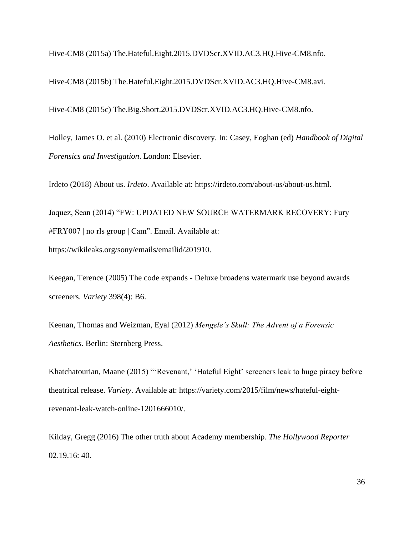Hive-CM8 (2015a) The.Hateful.Eight.2015.DVDScr.XVID.AC3.HQ.Hive-CM8.nfo.

Hive-CM8 (2015b) The.Hateful.Eight.2015.DVDScr.XVID.AC3.HQ.Hive-CM8.avi.

Hive-CM8 (2015c) The.Big.Short.2015.DVDScr.XVID.AC3.HQ.Hive-CM8.nfo.

Holley, James O. et al. (2010) Electronic discovery. In: Casey, Eoghan (ed) *Handbook of Digital Forensics and Investigation*. London: Elsevier.

Irdeto (2018) About us. *Irdeto*. Available at: https://irdeto.com/about-us/about-us.html.

Jaquez, Sean (2014) "FW: UPDATED NEW SOURCE WATERMARK RECOVERY: Fury #FRY007 | no rls group | Cam". Email. Available at: https://wikileaks.org/sony/emails/emailid/201910.

Keegan, Terence (2005) The code expands - Deluxe broadens watermark use beyond awards screeners. *Variety* 398(4): B6.

Keenan, Thomas and Weizman, Eyal (2012) *Mengele's Skull: The Advent of a Forensic Aesthetics*. Berlin: Sternberg Press.

Khatchatourian, Maane (2015) "'Revenant,' 'Hateful Eight' screeners leak to huge piracy before theatrical release. *Variety*. Available at: https://variety.com/2015/film/news/hateful-eightrevenant-leak-watch-online-1201666010/.

Kilday, Gregg (2016) The other truth about Academy membership. *The Hollywood Reporter*  02.19.16: 40.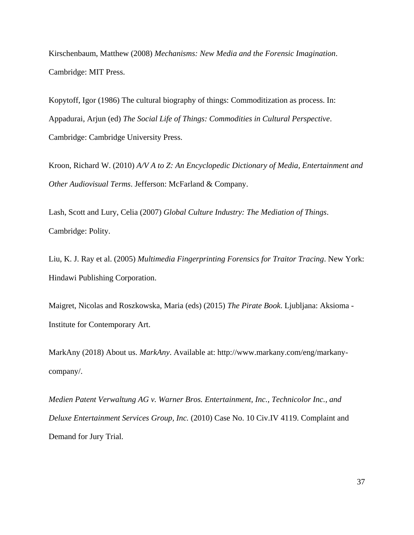Kirschenbaum, Matthew (2008) *Mechanisms: New Media and the Forensic Imagination*. Cambridge: MIT Press.

Kopytoff, Igor (1986) The cultural biography of things: Commoditization as process. In: Appadurai, Arjun (ed) *The Social Life of Things: Commodities in Cultural Perspective*. Cambridge: Cambridge University Press.

Kroon, Richard W. (2010) *A/V A to Z: An Encyclopedic Dictionary of Media, Entertainment and Other Audiovisual Terms*. Jefferson: McFarland & Company.

Lash, Scott and Lury, Celia (2007) *Global Culture Industry: The Mediation of Things*. Cambridge: Polity.

Liu, K. J. Ray et al. (2005) *Multimedia Fingerprinting Forensics for Traitor Tracing*. New York: Hindawi Publishing Corporation.

Maigret, Nicolas and Roszkowska, Maria (eds) (2015) *The Pirate Book*. Ljubljana: Aksioma - Institute for Contemporary Art.

MarkAny (2018) About us. *MarkAny*. Available at: http://www.markany.com/eng/markanycompany/.

*Medien Patent Verwaltung AG v. Warner Bros. Entertainment, Inc., Technicolor Inc., and Deluxe Entertainment Services Group, Inc.* (2010) Case No. 10 Civ.IV 4119. Complaint and Demand for Jury Trial.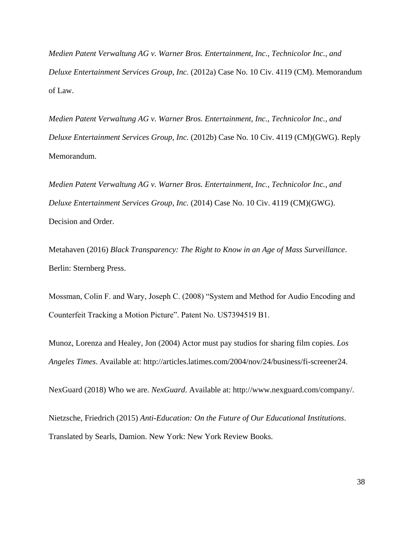*Medien Patent Verwaltung AG v. Warner Bros. Entertainment, Inc., Technicolor Inc., and Deluxe Entertainment Services Group, Inc.* (2012a) Case No. 10 Civ. 4119 (CM). Memorandum of Law.

*Medien Patent Verwaltung AG v. Warner Bros. Entertainment, Inc., Technicolor Inc., and Deluxe Entertainment Services Group, Inc.* (2012b) Case No. 10 Civ. 4119 (CM)(GWG). Reply Memorandum.

*Medien Patent Verwaltung AG v. Warner Bros. Entertainment, Inc., Technicolor Inc., and Deluxe Entertainment Services Group, Inc.* (2014) Case No. 10 Civ. 4119 (CM)(GWG). Decision and Order.

Metahaven (2016) *Black Transparency: The Right to Know in an Age of Mass Surveillance*. Berlin: Sternberg Press.

Mossman, Colin F. and Wary, Joseph C. (2008) "System and Method for Audio Encoding and Counterfeit Tracking a Motion Picture". Patent No. US7394519 B1.

Munoz, Lorenza and Healey, Jon (2004) Actor must pay studios for sharing film copies. *Los Angeles Times*. Available at: http://articles.latimes.com/2004/nov/24/business/fi-screener24.

NexGuard (2018) Who we are. *NexGuard*. Available at: http://www.nexguard.com/company/.

Nietzsche, Friedrich (2015) *Anti-Education: On the Future of Our Educational Institutions*. Translated by Searls, Damion. New York: New York Review Books.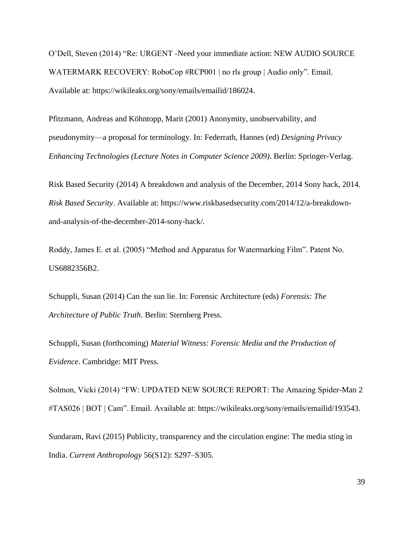O'Dell, Steven (2014) "Re: URGENT -Need your immediate action: NEW AUDIO SOURCE WATERMARK RECOVERY: RoboCop #RCP001 | no rls group | Audio only". Email. Available at: https://wikileaks.org/sony/emails/emailid/186024.

Pfitzmann, Andreas and Köhntopp, Marit (2001) Anonymity, unobservability, and pseudonymity—a proposal for terminology. In: Federrath, Hannes (ed) *Designing Privacy Enhancing Technologies (Lecture Notes in Computer Science 2009)*. Berlin: Springer-Verlag.

Risk Based Security (2014) A breakdown and analysis of the December, 2014 Sony hack, 2014. *Risk Based Security*. Available at: https://www.riskbasedsecurity.com/2014/12/a-breakdownand-analysis-of-the-december-2014-sony-hack/.

Roddy, James E. et al. (2005) "Method and Apparatus for Watermarking Film". Patent No. US6882356B2.

Schuppli, Susan (2014) Can the sun lie. In: Forensic Architecture (eds) *Forensis: The Architecture of Public Truth*. Berlin: Sternberg Press.

Schuppli, Susan (forthcoming) *Material Witness: Forensic Media and the Production of Evidence*. Cambridge: MIT Press.

Solmon, Vicki (2014) "FW: UPDATED NEW SOURCE REPORT: The Amazing Spider-Man 2 #TAS026 | BOT | Cam". Email. Available at: https://wikileaks.org/sony/emails/emailid/193543.

Sundaram, Ravi (2015) Publicity, transparency and the circulation engine: The media sting in India. *Current Anthropology* 56(S12): S297–S305.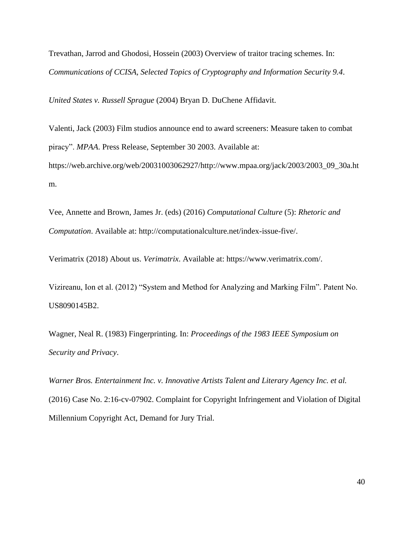Trevathan, Jarrod and Ghodosi, Hossein (2003) Overview of traitor tracing schemes. In: *Communications of CCISA, Selected Topics of Cryptography and Information Security 9.4*.

*United States v. Russell Sprague* (2004) Bryan D. DuChene Affidavit.

Valenti, Jack (2003) Film studios announce end to award screeners: Measure taken to combat piracy". *MPAA*. Press Release, September 30 2003. Available at: https://web.archive.org/web/20031003062927/http://www.mpaa.org/jack/2003/2003\_09\_30a.ht m.

Vee, Annette and Brown, James Jr. (eds) (2016) *Computational Culture* (5): *Rhetoric and Computation*. Available at: http://computationalculture.net/index-issue-five/.

Verimatrix (2018) About us. *Verimatrix*. Available at: https://www.verimatrix.com/.

Vizireanu, Ion et al. (2012) "System and Method for Analyzing and Marking Film". Patent No. US8090145B2.

Wagner, Neal R. (1983) Fingerprinting. In: *Proceedings of the 1983 IEEE Symposium on Security and Privacy*.

*Warner Bros. Entertainment Inc. v. Innovative Artists Talent and Literary Agency Inc. et al.* (2016) Case No. 2:16-cv-07902. Complaint for Copyright Infringement and Violation of Digital Millennium Copyright Act, Demand for Jury Trial.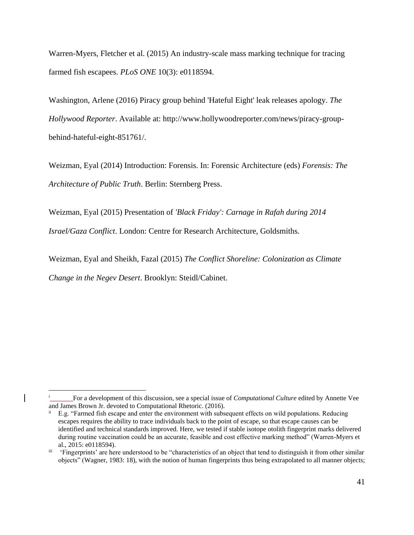Warren-Myers, Fletcher et al. (2015) An industry-scale mass marking technique for tracing farmed fish escapees. *PLoS ONE* 10(3): e0118594.

Washington, Arlene (2016) Piracy group behind 'Hateful Eight' leak releases apology. *The Hollywood Reporter*. Available at: http://www.hollywoodreporter.com/news/piracy-groupbehind-hateful-eight-851761/.

Weizman, Eyal (2014) Introduction: Forensis. In: Forensic Architecture (eds) *Forensis: The Architecture of Public Truth*. Berlin: Sternberg Press.

Weizman, Eyal (2015) Presentation of *'Black Friday': Carnage in Rafah during 2014 Israel/Gaza Conflict*. London: Centre for Research Architecture, Goldsmiths.

Weizman, Eyal and Sheikh, Fazal (2015) *The Conflict Shoreline: Colonization as Climate Change in the Negev Desert*. Brooklyn: Steidl/Cabinet.

 $\overline{a}$ 

<sup>i</sup> For a development of this discussion, see a special issue of *Computational Culture* edited by Annette Vee and James Brown Jr. devoted to Computational Rhetoric. (2016).

 $\ddot{H}$  E.g. "Farmed fish escape and enter the environment with subsequent effects on wild populations. Reducing escapes requires the ability to trace individuals back to the point of escape, so that escape causes can be identified and technical standards improved. Here, we tested if stable isotope otolith fingerprint marks delivered during routine vaccination could be an accurate, feasible and cost effective marking method" (Warren-Myers et al., 2015: e0118594).

iii 'Fingerprints' are here understood to be "characteristics of an object that tend to distinguish it from other similar objects" (Wagner, 1983: 18), with the notion of human fingerprints thus being extrapolated to all manner objects;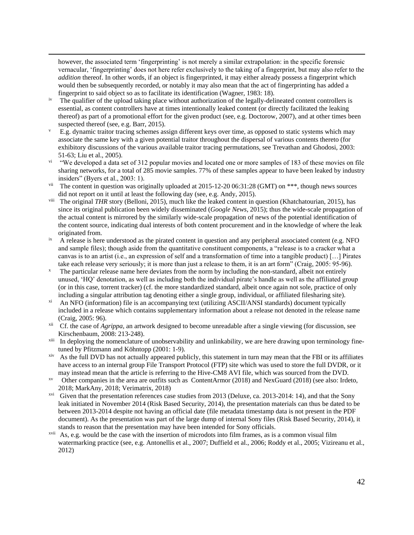however, the associated term 'fingerprinting' is not merely a similar extrapolation: in the specific forensic vernacular, 'fingerprinting' does not here refer exclusively to the taking of a fingerprint, but may also refer to the *addition* thereof. In other words, if an object is fingerprinted, it may either already possess a fingerprint which would then be subsequently recorded, or notably it may also mean that the act of fingerprinting has added a fingerprint to said object so as to facilitate its identification (Wagner, 1983: 18).

 $\overline{a}$ 

- <sup>iv</sup> The qualifier of the upload taking place without authorization of the legally-delineated content controllers is essential, as content controllers have at times intentionally leaked content (or directly facilitated the leaking thereof) as part of a promotional effort for the given product (see, e.g. Doctorow, 2007), and at other times been suspected thereof (see, e.g. Barr, 2015).
- <sup>v</sup> E.g. dynamic traitor tracing schemes assign different keys over time, as opposed to static systems which may associate the same key with a given potential traitor throughout the dispersal of various contents thereto (for exhibitory discussions of the various available traitor tracing permutations, see Trevathan and Ghodosi, 2003: 51-63; Liu et al., 2005).
- <sup>vi</sup> "We developed a data set of 312 popular movies and located one or more samples of 183 of these movies on file sharing networks, for a total of 285 movie samples. 77% of these samples appear to have been leaked by industry insiders" (Byers et al., 2003: 1).
- <sup>vii</sup> The content in question was originally uploaded at 2015-12-20 06:31:28 (GMT) on \*\*\*, though news sources did not report on it until at least the following day (see, e.g. Andy, 2015).
- viii The original *THR* story (Belloni, 2015), much like the leaked content in question (Khatchatourian, 2015), has since its original publication been widely disseminated (*Google News*, 2015); thus the wide-scale propagation of the actual content is mirrored by the similarly wide-scale propagation of news of the potential identification of the content source, indicating dual interests of both content procurement and in the knowledge of where the leak originated from.
- $i<sup>x</sup>$  A release is here understood as the pirated content in question and any peripheral associated content (e.g. NFO and sample files); though aside from the quantitative constituent components, a "release is to a cracker what a canvas is to an artist (i.e., an expression of self and a transformation of time into a tangible product) […] Pirates take each release very seriously; it is more than just a release to them, it is an art form" (Craig, 2005: 95-96).
- The particular release name here deviates from the norm by including the non-standard, albeit not entirely unused, 'HQ' denotation, as well as including both the individual pirate's handle as well as the affiliated group (or in this case, torrent tracker) (cf. the more standardized standard, albeit once again not sole, practice of only including a singular attribution tag denoting either a single group, individual, or affiliated filesharing site).
- An NFO (information) file is an accompanying text (utilizing ASCII/ANSI standards) document typically included in a release which contains supplementary information about a release not denoted in the release name (Craig, 2005: 96).
- Cf. the case of *Agrippa*, an artwork designed to become unreadable after a single viewing (for discussion, see Kirschenbaum, 2008: 213-248).
- xiii In deploying the nomenclature of unobservability and unlinkability, we are here drawing upon terminology finetuned by Pfitzmann and Köhntopp (2001: 1-9).
- $x<sub>iv</sub>$  As the full DVD has not actually appeared publicly, this statement in turn may mean that the FBI or its affiliates have access to an internal group File Transport Protocol (FTP) site which was used to store the full DVDR, or it may instead mean that the article is referring to the Hive-CM8 AVI file, which was sourced from the DVD.
- xv Other companies in the area are outfits such as ContentArmor (2018) and NexGuard (2018) (see also: Irdeto, 2018; MarkAny, 2018; Verimatrix, 2018)
- <sup>xvi</sup> Given that the presentation references case studies from 2013 (Deluxe, ca. 2013-2014: 14), and that the Sony leak initiated in November 2014 (Risk Based Security, 2014), the presentation materials can thus be dated to be between 2013-2014 despite not having an official date (file metadata timestamp data is not present in the PDF document). As the presentation was part of the large dump of internal Sony files (Risk Based Security, 2014), it stands to reason that the presentation may have been intended for Sony officials.
- xvii As, e.g. would be the case with the insertion of microdots into film frames, as is a common visual film watermarking practice (see, e.g. Antonellis et al., 2007; Duffield et al., 2006; Roddy et al., 2005; Vizireanu et al., 2012)